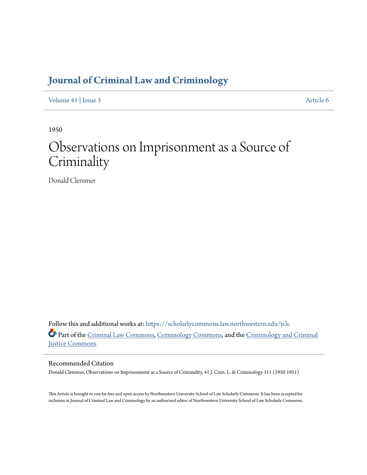# **[Journal of Criminal Law and Criminology](https://scholarlycommons.law.northwestern.edu/jclc?utm_source=scholarlycommons.law.northwestern.edu%2Fjclc%2Fvol41%2Fiss3%2F6&utm_medium=PDF&utm_campaign=PDFCoverPages)**

[Volume 41](https://scholarlycommons.law.northwestern.edu/jclc/vol41?utm_source=scholarlycommons.law.northwestern.edu%2Fjclc%2Fvol41%2Fiss3%2F6&utm_medium=PDF&utm_campaign=PDFCoverPages) | [Issue 3](https://scholarlycommons.law.northwestern.edu/jclc/vol41/iss3?utm_source=scholarlycommons.law.northwestern.edu%2Fjclc%2Fvol41%2Fiss3%2F6&utm_medium=PDF&utm_campaign=PDFCoverPages) [Article 6](https://scholarlycommons.law.northwestern.edu/jclc/vol41/iss3/6?utm_source=scholarlycommons.law.northwestern.edu%2Fjclc%2Fvol41%2Fiss3%2F6&utm_medium=PDF&utm_campaign=PDFCoverPages)

1950

# Observations on Imprisonment as a Source of **Criminality**

Donald Clemmer

Follow this and additional works at: [https://scholarlycommons.law.northwestern.edu/jclc](https://scholarlycommons.law.northwestern.edu/jclc?utm_source=scholarlycommons.law.northwestern.edu%2Fjclc%2Fvol41%2Fiss3%2F6&utm_medium=PDF&utm_campaign=PDFCoverPages) Part of the [Criminal Law Commons](http://network.bepress.com/hgg/discipline/912?utm_source=scholarlycommons.law.northwestern.edu%2Fjclc%2Fvol41%2Fiss3%2F6&utm_medium=PDF&utm_campaign=PDFCoverPages), [Criminology Commons](http://network.bepress.com/hgg/discipline/417?utm_source=scholarlycommons.law.northwestern.edu%2Fjclc%2Fvol41%2Fiss3%2F6&utm_medium=PDF&utm_campaign=PDFCoverPages), and the [Criminology and Criminal](http://network.bepress.com/hgg/discipline/367?utm_source=scholarlycommons.law.northwestern.edu%2Fjclc%2Fvol41%2Fiss3%2F6&utm_medium=PDF&utm_campaign=PDFCoverPages) [Justice Commons](http://network.bepress.com/hgg/discipline/367?utm_source=scholarlycommons.law.northwestern.edu%2Fjclc%2Fvol41%2Fiss3%2F6&utm_medium=PDF&utm_campaign=PDFCoverPages)

Recommended Citation

Donald Clemmer, Observations on Imprisonment as a Source of Criminality, 41 J. Crim. L. & Criminology 311 (1950-1951)

This Article is brought to you for free and open access by Northwestern University School of Law Scholarly Commons. It has been accepted for inclusion in Journal of Criminal Law and Criminology by an authorized editor of Northwestern University School of Law Scholarly Commons.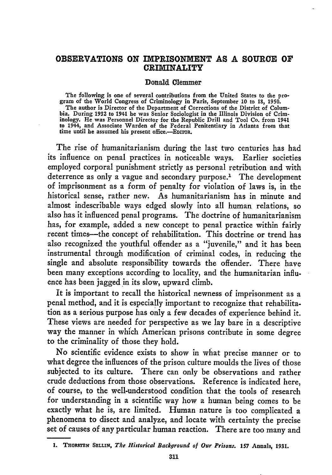### **OBSERVATIONS ON IMPRISONMENT AS A SOURCE OF CRIMINALITY**

#### **Donald Clemmer**

The following is one of several contributions from the United States to the pro-gram of the World Congress of Criminology in Paris, September **10** to **18, 1950.** The author is Director of the Department of Corrections of the District of Columbia. During **1932** to 1941 he was Senior Sociologist in the Illinois Division of Criminology. He was Personnel Director for the Republic Drill and Tool Co. from 1941 to 1944, and Associate Warden of the Federal Penitentiary in Atlanta from that time until he assumed his present office.-EDITOR.

The rise of humanitarianism during the last two centuries has had its influence on penal practices in noticeable ways. Earlier societies employed corporal punishment strictly as personal retribution and with deterrence as only a vague and secondary purpose.' The development of imprisonment as a form of penalty for violation of laws is, in the historical sense, rather new. As humanitarianism has in minute and almost indescribable ways edged slowly into all human relations, so also has it influenced penal programs. The doctrine of humanitarianism has, for example, added a new concept to penal practice within fairly recent times—the concept of rehabilitation. This doctrine or trend has also recognized the youthful offender as a "juvenile," and it has been instrumental through modification of criminal codes, in reducing the single and absolute responsibility towards the offender. There have been many exceptions according to locality, and the humanitarian influence has been jagged in its slow, upward climb.

It is important to recall the historical newness of imprisonment as a penal method, and it is especially important to recognize that rehabilitation as a serious purpose has only a few decades of experience behind it. These views are needed for perspective as we lay bare in a descriptive way the manner in which American prisons contribute in some degree to the criminality of those they hold.

No scientific evidence exists to show in what precise manner or to what degree the influences of the prison culture moulds the lives of those subjected to its culture. There can only be observations and rather crude deductions from those observations. Reference is indicated here, of course, to the well-understood condition that the tools of research for understanding in a scientific way how a human being comes to be exactly what he is, are limited. Human nature is too complicated a phenomena to disect and analyze, and locate with certainty the precise set of causes of any particular human reaction. There are too many and

**<sup>1.</sup> THORSTEN SELLIN,** *The Historical Background of Our Prisons.* **157 Annals, 1931.**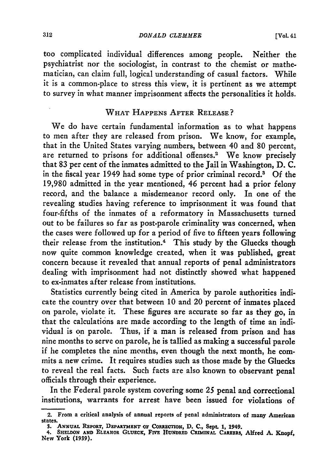*DONALD CLEMMER* 

too complicated individual differences among people. Neither the psychiatrist nor the sociologist, in contrast to the chemist or mathematician, can claim full, logical understanding of casual factors. While it is a common-place to stress this view, it is pertinent as we attempt to survey in what manner imprisonment affects the personalities it holds.

# WHAT HAPPENS AFTER RELEASE?

We do have certain fundamental information as to what happens to men after they are released from prison. We know, for example, that in the United States varying numbers, between 40 and **80** percent, are returned to prisons for additional offenses.<sup>2</sup> We know precisely that 83 per cent of the inmates admitted to the Jail in Washington, D. C. in the fiscal year 1949 had some type of prior criminal record.3 Of the 19,980 admitted in the year mentioned, 46 percent had a prior felony record, and the balance a misdemeanor record only. In one of the revealing studies having reference to imprisonment it was found that four-fifths of the inmates of a reformatory in Massachusetts turned out to be failures so far as post-parole criminality was concerned, when the cases were followed up for a period of five to fifteen years following their release from the institution.4 This study **by** the Gluecks though now quite common knowledge created, when it was published, great concern because it revealed that annual reports of penal administrators dealing with imprisonment had not distinctly showed what happened to ex-inmates after release from institutions.

Statistics currently being cited in America **by** parole authorities indicate the country over that between **10** and 20 percent of inmates placed on parole, violate it. These figures are accurate so far as they go, in that the calculations are made according to the length of time an individual is on parole. Thus, if a man is released from prison and has nine months to serve on parole, he is tallied as making a successful parole if he completes the nine months, even though the next month, he commits a new crime. It requires studies such as those made **by** the Gluecks to reveal the real facts. Such facts are also known to observant penal officials through their experience.

In the Federal parole system covering some 25 penal and correctional institutions, warrants for arrest have been issued for violations of

<sup>2.</sup> From a critical analysis of annual reports of penal administrators of many American states.

**<sup>3.</sup> ANNUAL REPORT, DEPARTMENT OF CORRECTION, D. C.,** Sept. **1,** 1949. **4. SHELDON AND ELEANOR GLUECK, FIVE HUNDRED CRIMINAL CAREERS, Alfred A. Knopf, New York (1939).**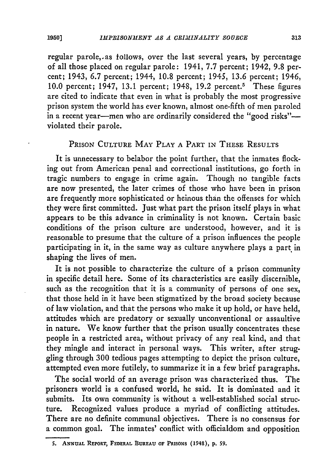regular parole,.as follows, over the last several years, by percentage of all those placed on regular parole: 1941, 7.7 percent; 1942, 9.8 percent; 1943, 6.7 percent; 1944, 10.8 percent; 1945, 13.6 percent; 1946, 10.0 percent; 1947, 13.1 percent; 1948, 19.2 percent.5 These figures are cited to indicate that even in what is probably the most progressive prison system the world has ever known, almost one-fifth of men paroled in a recent year-men who are ordinarily considered the "good risks"violated their parole.

# PRISON CULTURE MAY PLAY A PART IN THESE RESULTS

It is unnecessary to belabor the point further, that the inmates flocking out from American penal and correctional institutions, go forth in tragic numbers to engage in crime again. Though no tangible facts are now presented, the later crimes of those who have been in prison are frequently more sophisticated or heinous than the offenses for which they were first committed. Just what part the prison itself plays in what appears to be this advance in criminality is not known. Certain basic conditions of the prison culture are understood, however, and it is reasonable to presume that the culture of a prison influences the people participating in it, in the same way as culture anywhere plays a part in shaping the lives of men.

It is not possible to characterize the culture of a prison community in specific detail here. Some of its characteristics are easily discernible, such as the recognition that it is a community of persons of one sex, that those held in it have been stigmatized by the broad society because of law violation, and that the persons who make it up hold, or have held, attitudes which are predatory or sexually unconventional or assaultive in nature. We know further that the prison usually concentrates these people in a restricted area, without privacy of any real kind, and that they mingle and interact in personal ways. This writer, after struggling through 300 tedious pages attempting to depict the prison culture, attempted even more futilely, to summarize it in a few brief paragraphs.

The social world of an average prison was characterized thus. The prisoners world is a confused world, he said. It is dominated and it submits. Its own community is without a well-established social structure. Recognized values produce a myriad of conflicting attitudes. There are no definite communal objectives. There is no consensus for a common goal. The inmates' conflict with officialdom and opposition

**<sup>5.</sup> ANNUAL REPORT, FEDERAL BUREAU OF PRISONS** (1948), **p. 59.**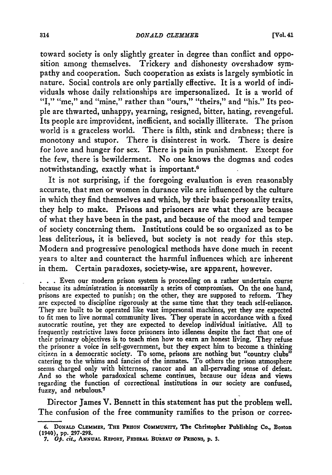toward society is only slightly greater in degree than conflict and opposition among themselves. Trickery and dishonesty overshadow sympathy and cooperation. Such cooperation as exists is largely symbiotic in nature. Social controls are only partially effective. It is a world of individuals whose daily relationships are impersonalized. It is a world of "I," "me," and "mine," rather than "ours," "theirs," and "his." Its people are thwarted, unhappy, yearning, resigned, bitter, hating, revengeful. Its people are improvident, inefficient, and socially illiterate. The prison world is a graceless world. There is filth, stink and drabness; there is monotony and stupor. There is disinterest in work. There is desire for love and hunger for sex. There is pain in punishment. Except for the few, there is bewilderment. No one knows the dogmas and codes notwithstanding, exactly what is important.<sup>6</sup>

It is not surprising, if the foregoing evaluation is even reasonably accurate, that men or women in durance vile are influenced by the culture in which they find themselves and which, by their basic personality traits, they help to make. Prisons and prisoners are what they are because of what they have been in the past, and because of the mood and temper of society concerning them. Institutions could be so organized as to be less deliterious, it is believed, but society is not ready for this step. Modern and progressive penological methods have done much in recent years to alter and counteract the harmful influences which are inherent in them. Certain paradoxes, society-wise, are apparent, however.

. . . Even our modern prison system is proceeding on a rather undertain course because its administration is necessarily a series of compromises. On the one hand, prisons are expected to punish; on the other, they are supposed to reform. They are expected to discipline rigorously at the same time that they teach self-reliance. They are built to be operated like vast impersonal machines, yet they are expected to fit men to live normal community lives. They operate in accordance with a fixed autocratic routine, yet they are expected to develop individual initiative. **All** to frequently restrictive laws force prisoners into idleness despite the fact that one of their primary objectives is to teach men how to earn an honest living. They refuse the prisoner a voice in self-government, but they expect him to become a thinking citizen in a democratic society. To some, prisons are nothing but "country clubs" catering to the whims and fancies of the inmates. To others the prison atmosphere seems charged only with bitterness, rancor and an all-pervading sense of defeat. And so the whole paradoxical scheme continues, because our ideas and views regarding the function of correctional institutions in our society are confused, fuzzy, and nebulous.7

Director James V. Bennett in this statement has put the problem well. The confusion of the free community ramifies to the prison or correc-

**<sup>6.</sup> DONALD CLEMMER, THE** PRIsON **COMMUNITy, The Christopher Publishing Co., Boston** (1940), **pp. 297-298. 7.** *Op.* **cit., ANNUAL REPoRT, FEDEPAL BUREAU or PRisoNs, p. 3.**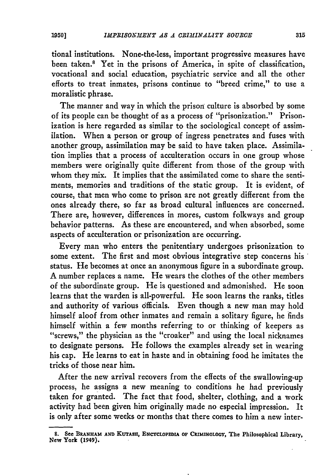tional institutions. None-the-less, important progressive measures have been taken.8 Yet in the prisons of America, in spite of classification, vocational and social education, psychiatric service and all the other efforts to treat inmates, prisons continue to "breed crime," to use a moralistic phrase.

The manner and way in which the prison culture is absorbed **by** some of its people can be thought of as a process of "prisonization." Prisonization is here regarded as similar to the sociological concept of assimilation. When a person or group of ingress penetrates and fuses with another group, assimilation may be said to have taken place. Assimilation implies that a process of acculteration occurs in one group whose members were originally quite different from those of the group with whom they mix. It implies that the assimilated come to share the sentiments, memories and traditions of the static group. It is evident, of course, that men who come to prison are not greatly different from the ones already there, so far as broad cultural influences are concerned. There are, however, differences in mores, custom folkways and group behavior patterns. As these are encountered, and when absorbed, some aspects of acculteration or prisonization are occurring.

Every man who enters the penitentiary undergoes prisonization to some extent. The first and most obvious integrative step concerns his status. He becomes at once an anonymous figure in a subordinate group. A number replaces a name. He wears the clothes of the other members of the subordinate group. He is questioned and admonished. He soon learns that the warden is all-powerful. He soon learns the ranks, titles and authority of various officials. Even though a new man may hold himself aloof from other inmates and remain a solitary figure, he finds himself within a few months referring to or thinking of keepers as "screws," the physician as the "croaker" and using the local nicknames to designate persons. He follows the examples already set in wearing his cap. He learns to eat in haste and in obtaining food he imitates the tricks of those near him.

After the new arrival recovers from the effects of the swallowing-up process, he assigns a new meaning to conditions he had previously taken for granted. The fact that food, shelter, clothing, and a work activity had been given him originally made no especial impression. It is only after some weeks or months that there comes to him a new inter-

<sup>8.</sup> See BRANHAM AND KUTASH, ENCYCLOPEDIA OF CRIMINOLOGY, The Philosophical Library, **New York (1949).**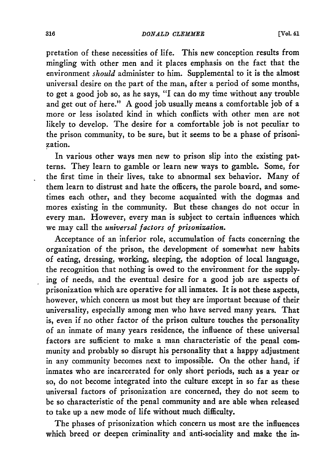pretation of these necessities of life. This new conception results from mingling with other men and it places emphasis on the fact that the environment *should* administer to him. Supplemental to it is the almost universal desire on the part of the man, after a period of some months, to get a good job so, as he says, "I can do my time without any trouble and get out of here." A good job usually means a comfortable job of a more or less isolated kind in which conflicts with other men are not likely to develop. The desire for a comfortable job is not peculiar to the prison community, to be sure, but it seems to be a phase of prisonization.

In various other ways men new to prison slip into the existing patterns. They learn to gamble or learn new ways to gamble. Some, for the first time in their lives, take to abnormal sex behavior. Many of them learn to distrust and hate the officers, the parole board, and sometimes each other, and they become acquainted with the dogmas and mores existing in the community. But these changes do not occur in every man. However, every man is subject to certain influences which we may call the *universal factors of prisonization.*

Acceptance of an inferior role, accumulation of facts concerning the organization of the prison, the development of somewhat new habits of eating, dressing, working, sleeping, the adoption of local language, the recognition that nothing is owed to the environment for the supplying of needs, and the eventual desire for a good job are aspects of prisonization which are operative for all inmates. It is not these aspects, however, which concern us most but they are important because of their universality, especially among men who have served many years. That is, even if no other factor of the prison culture touches the personality of an inmate of many years residence, the influence of these universal factors are sufficient to make a man characteristic of the penal community and probably so disrupt his personality that a happy adjustment in any community becomes next to impossible. On the other hand, if inmates who are incarcerated for only short periods, such as a year or so, do not become integrated into the culture except in so far as these universal factors of prisonization are concerned, they do not seem to be so characteristic of the penal community and are able when released to take up a new mode of life without much difficulty.

The phases of prisonization which concern us most are the influences which breed or deepen criminality and anti-sociality and make the in-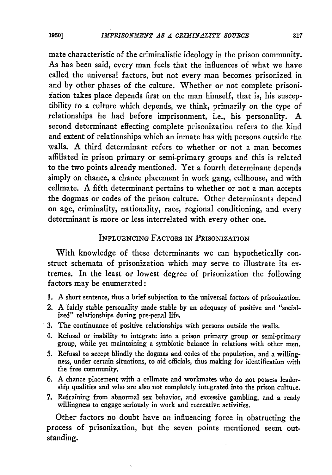mate characteristic of the criminalistic ideology in the prison community. As has been said, every man feels that the influences of what we have called the universal factors, but not every man becomes prisonized in and **by** other phases of the culture. Whether or not complete prisonization takes place depends first on the man himself, that is, his susceptibility to a culture which depends, we think, primarily on the type of relationships he had before imprisonment, i.e., his personality. **A** second determinant effecting complete prisonization refers to the kind and extent of relationships which an inmate has with persons outside the walls. **A** third determinant refers to whether or not a man becomes affiliated in prison primary or semi-primary groups and this is related to the two points already mentioned. Yet a fourth determinant depends simply on chance, a chance placement in work gang, cellhouse, and with cellmate. **A** fifth determinant pertains to whether or not a man accepts the dogmas or codes of the prison culture. Other determinants depend on age, criminality, nationality, race, regional conditioning, and every determinant is more or less interrelated with every other one.

## INFLUENCING FACTORS **IN** PRISONIZATION

With knowledge of these determinants we can hypothetically construct schemata of prisonization which may serve to illustrate its extremes. In the least or lowest degree of prisonization the following factors may be enumerated:

- 1. A short sentence, thus a brief subjection to the universal factors of prisonization.
- 2. A fairly stable personality made stable by an adequacy of positive and "socialized" relationships during pre-penal life.
- **3.** The continuance of positive relationships with persons outside the walls.
- 4. Refusal or inability to integrate into a prison primary group or semi-primary group, while yet maintaining a symbiotic balance in relations with other men.
- **5.** Refusal to accept blindly the dogmas and codes of the population, and a willingness, under certain situations, to aid officials, thus making for identification with the free community.
- 6. A chance placement with a cellmate and workmates who do not possess leadership qualities and who are also not completely integrated into the prison culture.
- 7. Refraining from abnormal sex behavior, and excessive gambling, and a ready willingness to engage seriously in work and recreative activities.

Other factors no doubt have an influencing force in obstructing the process of prisonization, but the seven points mentioned seem outstanding.

**1950]**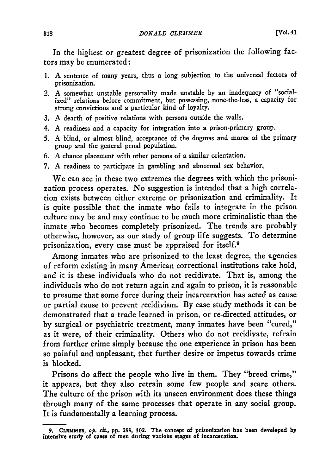In the highest or greatest degree of prisonization the following factors may be enumerated:

- **1. A** sentence of many years, thus a long subjection to the universal factors of prisonization.
- 2. A somewhat unstable personality made unstable by an inadequacy of "socialized" relations before commitment, but possessing, none-the-less, a capacity for strong convictions and a particular kind of loyalty.
- 3. **A** dearth of positive relations with persons outside the walls.
- 4. **A** readiness and a capacity for integration into a prison-primary group.
- 5. **A** blind, or almost blind, acceptance of the dogmas and mores of the primary group and the general penal population.
- 6. **A** chance placement with other persons of a similar orientation.
- 7. **A** readiness to participate in gambling and abnormal sex behavior.

We can see in these two extremes the degrees with which the prisonization process operates. No suggestion is intended that a high correlation exists between either extreme or prisonization and criminality. It is quite possible that the inmate who fails to integrate in the prison culture may be and may continue to be much more criminalistic than the inmate who becomes completely prisonized. The trends are probably otherwise, however, as our study of group life suggests. To determine prisonization, every case must be appraised for itself.9

Among inmates who are prisonized to the least degree, the agencies of reform existing in many American correctional institutions take hold, and it is these individuals who do not recidivate. That is, among the individuals who do not return again and again to prison, it is reasonable to presume that some force during their incarceration has acted as cause or partial cause to prevent recidivism. By case study methods it can be demonstrated that a trade learned in prison, or re-directed attitudes, or by surgical or psychiatric treatment, many inmates have been "cured," as it were, of their criminality. Others who do not recidivate, refrain from further crime simply because the one experience in prison has been so painful and unpleasant, that further desire or impetus towards crime is blocked.

Prisons do affect the people who live in them. They "breed crime," it appears, but they also retrain some few people and scare others. The culture of the prison with its unseen environment does these things through many of the same processes that operate in any social group. It is fundamentally a learning process.

**<sup>9.</sup> CLEMMEK,** *op.* **cit., pp. 299, 302. The concept of prisonization has been developed by intensive study of cases of** men during various stages **of incarceration.**